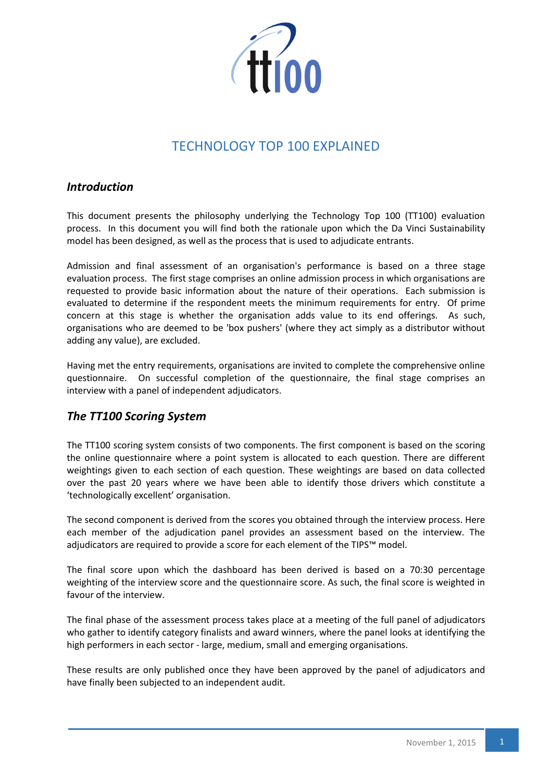

# TECHNOLOGY TOP 100 EXPLAINED

### *Introduction*

This document presents the philosophy underlying the Technology Top 100 (TT100) evaluation process. In this document you will find both the rationale upon which the Da Vinci Sustainability model has been designed, as well as the process that is used to adjudicate entrants.

Admission and final assessment of an organisation's performance is based on a three stage evaluation process. The first stage comprises an online admission process in which organisations are requested to provide basic information about the nature of their operations. Each submission is evaluated to determine if the respondent meets the minimum requirements for entry. Of prime concern at this stage is whether the organisation adds value to its end offerings. As such, organisations who are deemed to be 'box pushers' (where they act simply as a distributor without adding any value), are excluded.

Having met the entry requirements, organisations are invited to complete the comprehensive online questionnaire. On successful completion of the questionnaire, the final stage comprises an interview with a panel of independent adjudicators.

# *The TT100 Scoring System*

The TT100 scoring system consists of two components. The first component is based on the scoring the online questionnaire where a point system is allocated to each question. There are different weightings given to each section of each question. These weightings are based on data collected over the past 20 years where we have been able to identify those drivers which constitute a 'technologically excellent' organisation.

The second component is derived from the scores you obtained through the interview process. Here each member of the adjudication panel provides an assessment based on the interview. The adjudicators are required to provide a score for each element of the TIPS™ model.

The final score upon which the dashboard has been derived is based on a 70:30 percentage weighting of the interview score and the questionnaire score. As such, the final score is weighted in favour of the interview.

The final phase of the assessment process takes place at a meeting of the full panel of adjudicators who gather to identify category finalists and award winners, where the panel looks at identifying the high performers in each sector - large, medium, small and emerging organisations.

These results are only published once they have been approved by the panel of adjudicators and have finally been subjected to an independent audit.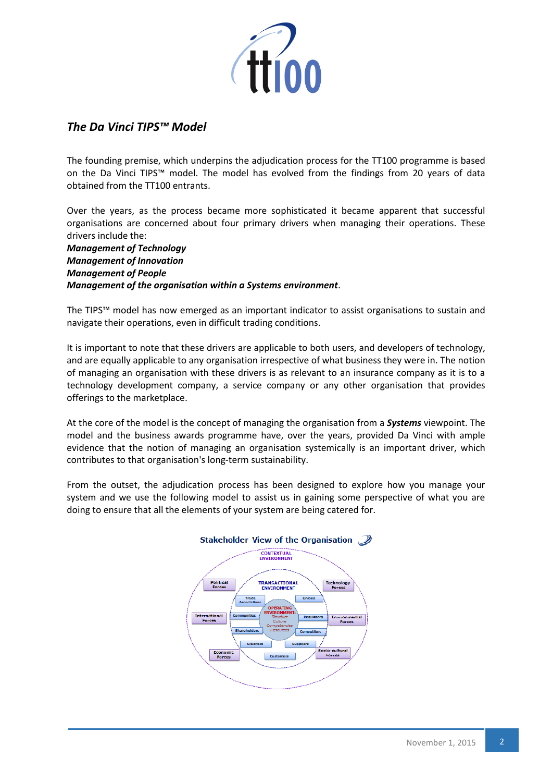

# *The Da Vinci TIPS™ Model*

The founding premise, which underpins the adjudication process for the TT100 programme is based on the Da Vinci TIPS™ model. The model has evolved from the findings from 20 years of data obtained from the TT100 entrants.

Over the years, as the process became more sophisticated it became apparent that successful organisations are concerned about four primary drivers when managing their operations. These drivers include the:

*Management of Technology Management of Innovation Management of People Management of the organisation within a Systems environment*.

The TIPS™ model has now emerged as an important indicator to assist organisations to sustain and navigate their operations, even in difficult trading conditions.

It is important to note that these drivers are applicable to both users, and developers of technology, and are equally applicable to any organisation irrespective of what business they were in. The notion of managing an organisation with these drivers is as relevant to an insurance company as it is to a technology development company, a service company or any other organisation that provides offerings to the marketplace.

At the core of the model is the concept of managing the organisation from a *Systems* viewpoint. The model and the business awards programme have, over the years, provided Da Vinci with ample evidence that the notion of managing an organisation systemically is an important driver, which contributes to that organisation's long-term sustainability.

From the outset, the adjudication process has been designed to explore how you manage your system and we use the following model to assist us in gaining some perspective of what you are doing to ensure that all the elements of your system are being catered for.

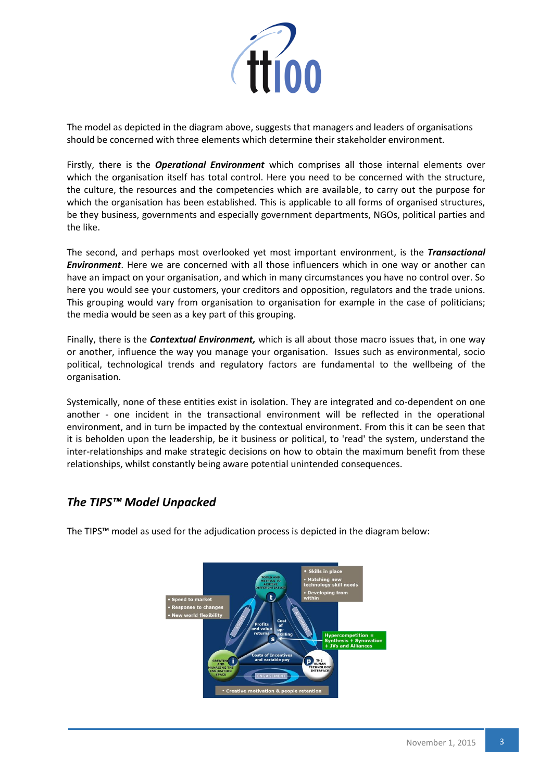

The model as depicted in the diagram above, suggests that managers and leaders of organisations should be concerned with three elements which determine their stakeholder environment.

Firstly, there is the *Operational Environment* which comprises all those internal elements over which the organisation itself has total control. Here you need to be concerned with the structure, the culture, the resources and the competencies which are available, to carry out the purpose for which the organisation has been established. This is applicable to all forms of organised structures, be they business, governments and especially government departments, NGOs, political parties and the like.

The second, and perhaps most overlooked yet most important environment, is the *Transactional Environment*. Here we are concerned with all those influencers which in one way or another can have an impact on your organisation, and which in many circumstances you have no control over. So here you would see your customers, your creditors and opposition, regulators and the trade unions. This grouping would vary from organisation to organisation for example in the case of politicians; the media would be seen as a key part of this grouping.

Finally, there is the *Contextual Environment,* which is all about those macro issues that, in one way or another, influence the way you manage your organisation. Issues such as environmental, socio political, technological trends and regulatory factors are fundamental to the wellbeing of the organisation.

Systemically, none of these entities exist in isolation. They are integrated and co-dependent on one another - one incident in the transactional environment will be reflected in the operational environment, and in turn be impacted by the contextual environment. From this it can be seen that it is beholden upon the leadership, be it business or political, to 'read' the system, understand the inter-relationships and make strategic decisions on how to obtain the maximum benefit from these relationships, whilst constantly being aware potential unintended consequences.

# *The TIPS™ Model Unpacked*

The TIPS™ model as used for the adjudication process is depicted in the diagram below:

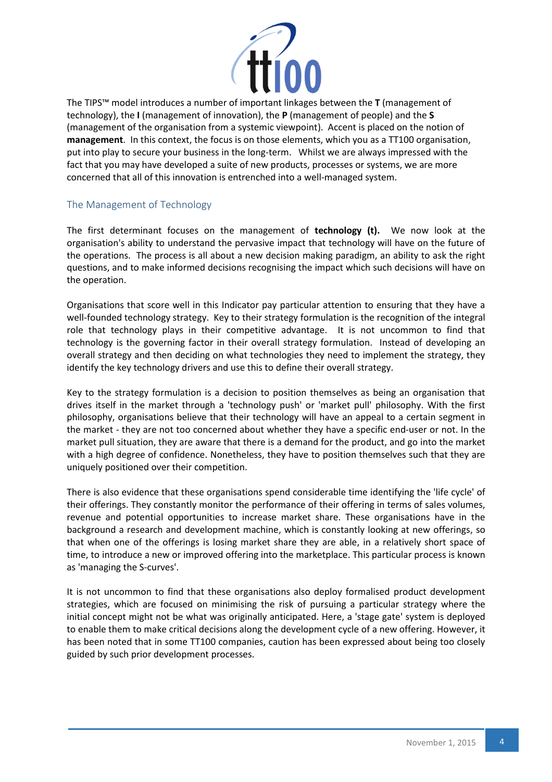

The TIPS™ model introduces a number of important linkages between the **T** (management of technology), the **I** (management of innovation), the **P** (management of people) and the **S** (management of the organisation from a systemic viewpoint). Accent is placed on the notion of **management**. In this context, the focus is on those elements, which you as a TT100 organisation, put into play to secure your business in the long-term. Whilst we are always impressed with the fact that you may have developed a suite of new products, processes or systems, we are more concerned that all of this innovation is entrenched into a well-managed system.

#### The Management of Technology

The first determinant focuses on the management of **technology (t).** We now look at the organisation's ability to understand the pervasive impact that technology will have on the future of the operations. The process is all about a new decision making paradigm, an ability to ask the right questions, and to make informed decisions recognising the impact which such decisions will have on the operation.

Organisations that score well in this Indicator pay particular attention to ensuring that they have a well-founded technology strategy. Key to their strategy formulation is the recognition of the integral role that technology plays in their competitive advantage. It is not uncommon to find that technology is the governing factor in their overall strategy formulation. Instead of developing an overall strategy and then deciding on what technologies they need to implement the strategy, they identify the key technology drivers and use this to define their overall strategy.

Key to the strategy formulation is a decision to position themselves as being an organisation that drives itself in the market through a 'technology push' or 'market pull' philosophy. With the first philosophy, organisations believe that their technology will have an appeal to a certain segment in the market - they are not too concerned about whether they have a specific end-user or not. In the market pull situation, they are aware that there is a demand for the product, and go into the market with a high degree of confidence. Nonetheless, they have to position themselves such that they are uniquely positioned over their competition.

There is also evidence that these organisations spend considerable time identifying the 'life cycle' of their offerings. They constantly monitor the performance of their offering in terms of sales volumes, revenue and potential opportunities to increase market share. These organisations have in the background a research and development machine, which is constantly looking at new offerings, so that when one of the offerings is losing market share they are able, in a relatively short space of time, to introduce a new or improved offering into the marketplace. This particular process is known as 'managing the S-curves'.

It is not uncommon to find that these organisations also deploy formalised product development strategies, which are focused on minimising the risk of pursuing a particular strategy where the initial concept might not be what was originally anticipated. Here, a 'stage gate' system is deployed to enable them to make critical decisions along the development cycle of a new offering. However, it has been noted that in some TT100 companies, caution has been expressed about being too closely guided by such prior development processes.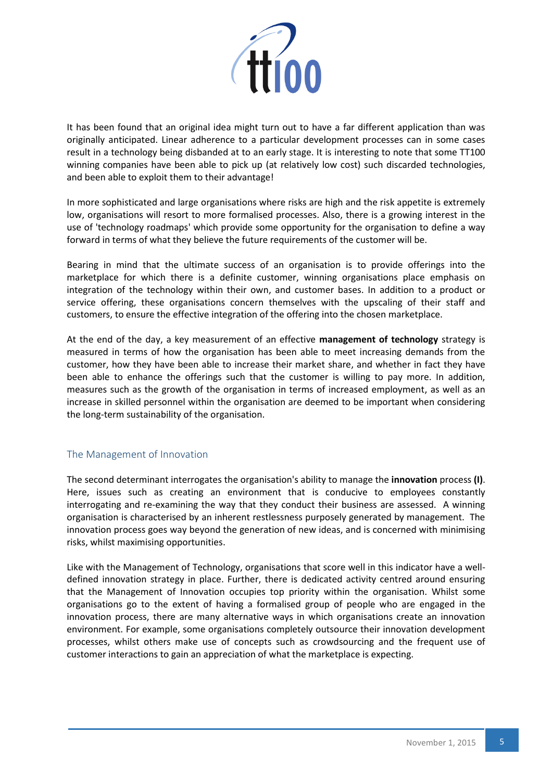

It has been found that an original idea might turn out to have a far different application than was originally anticipated. Linear adherence to a particular development processes can in some cases result in a technology being disbanded at to an early stage. It is interesting to note that some TT100 winning companies have been able to pick up (at relatively low cost) such discarded technologies, and been able to exploit them to their advantage!

In more sophisticated and large organisations where risks are high and the risk appetite is extremely low, organisations will resort to more formalised processes. Also, there is a growing interest in the use of 'technology roadmaps' which provide some opportunity for the organisation to define a way forward in terms of what they believe the future requirements of the customer will be.

Bearing in mind that the ultimate success of an organisation is to provide offerings into the marketplace for which there is a definite customer, winning organisations place emphasis on integration of the technology within their own, and customer bases. In addition to a product or service offering, these organisations concern themselves with the upscaling of their staff and customers, to ensure the effective integration of the offering into the chosen marketplace.

At the end of the day, a key measurement of an effective **management of technology** strategy is measured in terms of how the organisation has been able to meet increasing demands from the customer, how they have been able to increase their market share, and whether in fact they have been able to enhance the offerings such that the customer is willing to pay more. In addition, measures such as the growth of the organisation in terms of increased employment, as well as an increase in skilled personnel within the organisation are deemed to be important when considering the long-term sustainability of the organisation.

#### The Management of Innovation

The second determinant interrogates the organisation's ability to manage the **innovation** process **(I)**. Here, issues such as creating an environment that is conducive to employees constantly interrogating and re-examining the way that they conduct their business are assessed. A winning organisation is characterised by an inherent restlessness purposely generated by management. The innovation process goes way beyond the generation of new ideas, and is concerned with minimising risks, whilst maximising opportunities.

Like with the Management of Technology, organisations that score well in this indicator have a welldefined innovation strategy in place. Further, there is dedicated activity centred around ensuring that the Management of Innovation occupies top priority within the organisation. Whilst some organisations go to the extent of having a formalised group of people who are engaged in the innovation process, there are many alternative ways in which organisations create an innovation environment. For example, some organisations completely outsource their innovation development processes, whilst others make use of concepts such as crowdsourcing and the frequent use of customer interactions to gain an appreciation of what the marketplace is expecting.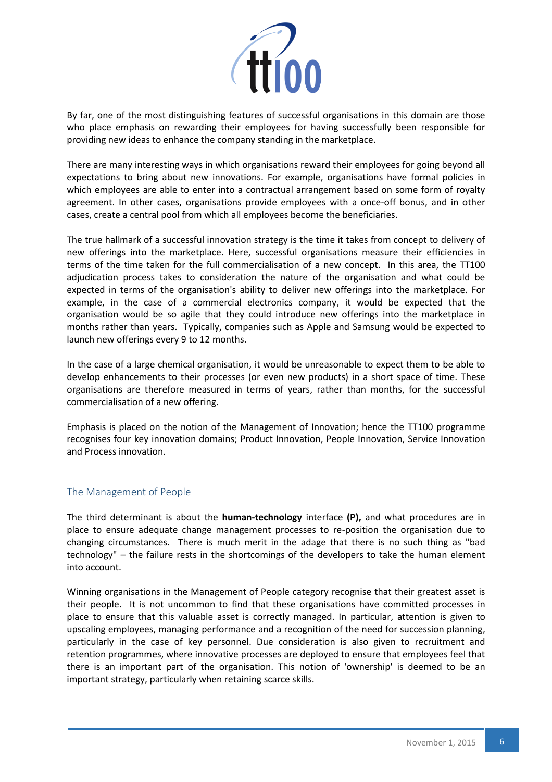

By far, one of the most distinguishing features of successful organisations in this domain are those who place emphasis on rewarding their employees for having successfully been responsible for providing new ideas to enhance the company standing in the marketplace.

There are many interesting ways in which organisations reward their employees for going beyond all expectations to bring about new innovations. For example, organisations have formal policies in which employees are able to enter into a contractual arrangement based on some form of royalty agreement. In other cases, organisations provide employees with a once-off bonus, and in other cases, create a central pool from which all employees become the beneficiaries.

The true hallmark of a successful innovation strategy is the time it takes from concept to delivery of new offerings into the marketplace. Here, successful organisations measure their efficiencies in terms of the time taken for the full commercialisation of a new concept. In this area, the TT100 adjudication process takes to consideration the nature of the organisation and what could be expected in terms of the organisation's ability to deliver new offerings into the marketplace. For example, in the case of a commercial electronics company, it would be expected that the organisation would be so agile that they could introduce new offerings into the marketplace in months rather than years. Typically, companies such as Apple and Samsung would be expected to launch new offerings every 9 to 12 months.

In the case of a large chemical organisation, it would be unreasonable to expect them to be able to develop enhancements to their processes (or even new products) in a short space of time. These organisations are therefore measured in terms of years, rather than months, for the successful commercialisation of a new offering.

Emphasis is placed on the notion of the Management of Innovation; hence the TT100 programme recognises four key innovation domains; Product Innovation, People Innovation, Service Innovation and Process innovation.

#### The Management of People

The third determinant is about the **human-technology** interface **(P),** and what procedures are in place to ensure adequate change management processes to re-position the organisation due to changing circumstances. There is much merit in the adage that there is no such thing as "bad technology" – the failure rests in the shortcomings of the developers to take the human element into account.

Winning organisations in the Management of People category recognise that their greatest asset is their people. It is not uncommon to find that these organisations have committed processes in place to ensure that this valuable asset is correctly managed. In particular, attention is given to upscaling employees, managing performance and a recognition of the need for succession planning, particularly in the case of key personnel. Due consideration is also given to recruitment and retention programmes, where innovative processes are deployed to ensure that employees feel that there is an important part of the organisation. This notion of 'ownership' is deemed to be an important strategy, particularly when retaining scarce skills.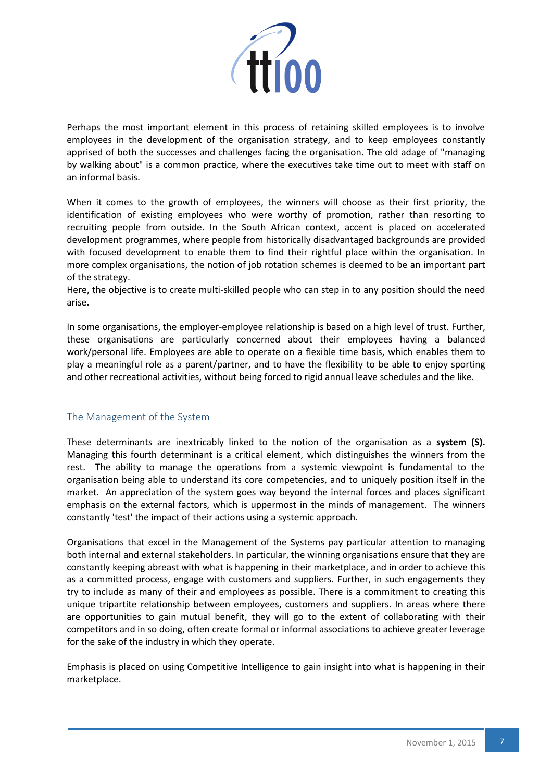

Perhaps the most important element in this process of retaining skilled employees is to involve employees in the development of the organisation strategy, and to keep employees constantly apprised of both the successes and challenges facing the organisation. The old adage of "managing by walking about" is a common practice, where the executives take time out to meet with staff on an informal basis.

When it comes to the growth of employees, the winners will choose as their first priority, the identification of existing employees who were worthy of promotion, rather than resorting to recruiting people from outside. In the South African context, accent is placed on accelerated development programmes, where people from historically disadvantaged backgrounds are provided with focused development to enable them to find their rightful place within the organisation. In more complex organisations, the notion of job rotation schemes is deemed to be an important part of the strategy.

Here, the objective is to create multi-skilled people who can step in to any position should the need arise.

In some organisations, the employer-employee relationship is based on a high level of trust. Further, these organisations are particularly concerned about their employees having a balanced work/personal life. Employees are able to operate on a flexible time basis, which enables them to play a meaningful role as a parent/partner, and to have the flexibility to be able to enjoy sporting and other recreational activities, without being forced to rigid annual leave schedules and the like.

#### The Management of the System

These determinants are inextricably linked to the notion of the organisation as a **system (S).** Managing this fourth determinant is a critical element, which distinguishes the winners from the rest. The ability to manage the operations from a systemic viewpoint is fundamental to the organisation being able to understand its core competencies, and to uniquely position itself in the market. An appreciation of the system goes way beyond the internal forces and places significant emphasis on the external factors, which is uppermost in the minds of management. The winners constantly 'test' the impact of their actions using a systemic approach.

Organisations that excel in the Management of the Systems pay particular attention to managing both internal and external stakeholders. In particular, the winning organisations ensure that they are constantly keeping abreast with what is happening in their marketplace, and in order to achieve this as a committed process, engage with customers and suppliers. Further, in such engagements they try to include as many of their and employees as possible. There is a commitment to creating this unique tripartite relationship between employees, customers and suppliers. In areas where there are opportunities to gain mutual benefit, they will go to the extent of collaborating with their competitors and in so doing, often create formal or informal associations to achieve greater leverage for the sake of the industry in which they operate.

Emphasis is placed on using Competitive Intelligence to gain insight into what is happening in their marketplace.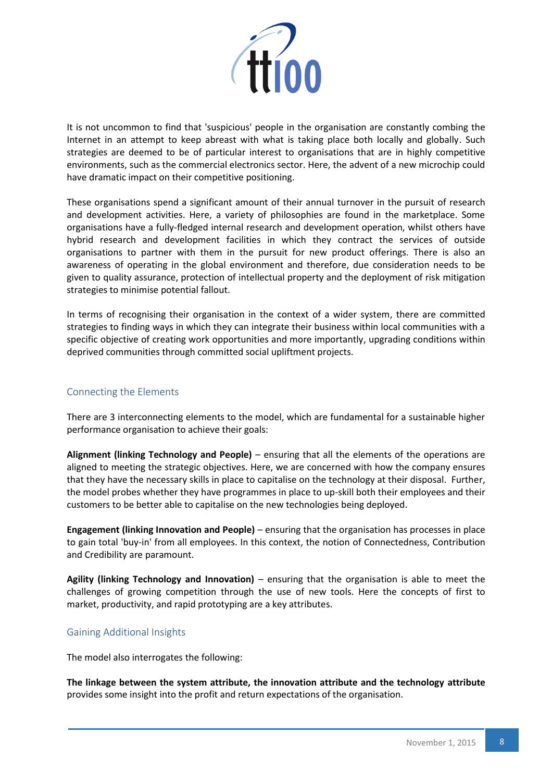

It is not uncommon to find that 'suspicious' people in the organisation are constantly combing the Internet in an attempt to keep abreast with what is taking place both locally and globally. Such strategies are deemed to be of particular interest to organisations that are in highly competitive environments, such as the commercial electronics sector. Here, the advent of a new microchip could have dramatic impact on their competitive positioning.

These organisations spend a significant amount of their annual turnover in the pursuit of research and development activities. Here, a variety of philosophies are found in the marketplace. Some organisations have a fully-fledged internal research and development operation, whilst others have hybrid research and development facilities in which they contract the services of outside organisations to partner with them in the pursuit for new product offerings. There is also an awareness of operating in the global environment and therefore, due consideration needs to be given to quality assurance, protection of intellectual property and the deployment of risk mitigation strategies to minimise potential fallout.

In terms of recognising their organisation in the context of a wider system, there are committed strategies to finding ways in which they can integrate their business within local communities with a specific objective of creating work opportunities and more importantly, upgrading conditions within deprived communities through committed social upliftment projects.

#### Connecting the Elements

There are 3 interconnecting elements to the model, which are fundamental for a sustainable higher performance organisation to achieve their goals:

**Alignment (linking Technology and People)** – ensuring that all the elements of the operations are aligned to meeting the strategic objectives. Here, we are concerned with how the company ensures that they have the necessary skills in place to capitalise on the technology at their disposal. Further, the model probes whether they have programmes in place to up-skill both their employees and their customers to be better able to capitalise on the new technologies being deployed.

**Engagement (linking Innovation and People)** – ensuring that the organisation has processes in place to gain total 'buy-in' from all employees. In this context, the notion of Connectedness, Contribution and Credibility are paramount.

**Agility (linking Technology and Innovation)** – ensuring that the organisation is able to meet the challenges of growing competition through the use of new tools. Here the concepts of first to market, productivity, and rapid prototyping are a key attributes.

#### Gaining Additional Insights

The model also interrogates the following:

**The linkage between the system attribute, the innovation attribute and the technology attribute** provides some insight into the profit and return expectations of the organisation.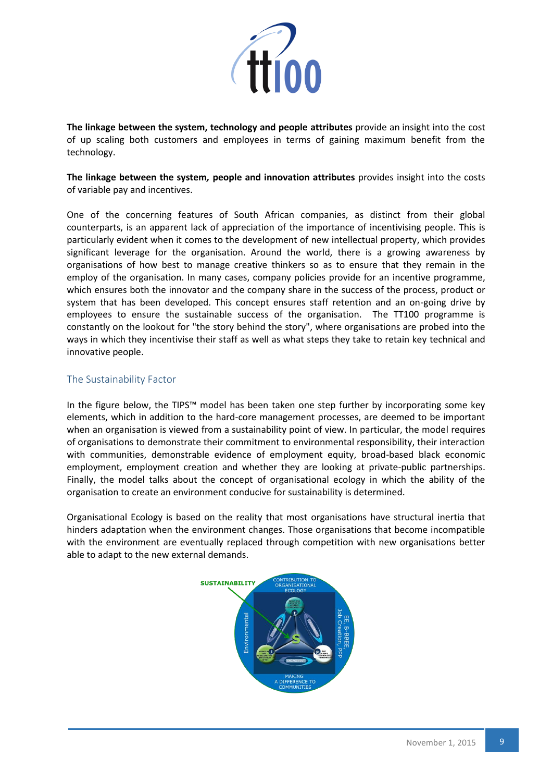

**The linkage between the system, technology and people attributes** provide an insight into the cost of up scaling both customers and employees in terms of gaining maximum benefit from the technology.

**The linkage between the system***,* **people and innovation attributes** provides insight into the costs of variable pay and incentives.

One of the concerning features of South African companies, as distinct from their global counterparts, is an apparent lack of appreciation of the importance of incentivising people. This is particularly evident when it comes to the development of new intellectual property, which provides significant leverage for the organisation. Around the world, there is a growing awareness by organisations of how best to manage creative thinkers so as to ensure that they remain in the employ of the organisation. In many cases, company policies provide for an incentive programme, which ensures both the innovator and the company share in the success of the process, product or system that has been developed. This concept ensures staff retention and an on-going drive by employees to ensure the sustainable success of the organisation. The TT100 programme is constantly on the lookout for "the story behind the story", where organisations are probed into the ways in which they incentivise their staff as well as what steps they take to retain key technical and innovative people.

#### The Sustainability Factor

In the figure below, the TIPS™ model has been taken one step further by incorporating some key elements, which in addition to the hard-core management processes, are deemed to be important when an organisation is viewed from a sustainability point of view. In particular, the model requires of organisations to demonstrate their commitment to environmental responsibility, their interaction with communities, demonstrable evidence of employment equity, broad-based black economic employment, employment creation and whether they are looking at private-public partnerships. Finally, the model talks about the concept of organisational ecology in which the ability of the organisation to create an environment conducive for sustainability is determined.

Organisational Ecology is based on the reality that most organisations have structural inertia that hinders adaptation when the environment changes. Those organisations that become incompatible with the environment are eventually replaced through competition with new organisations better able to adapt to the new external demands.

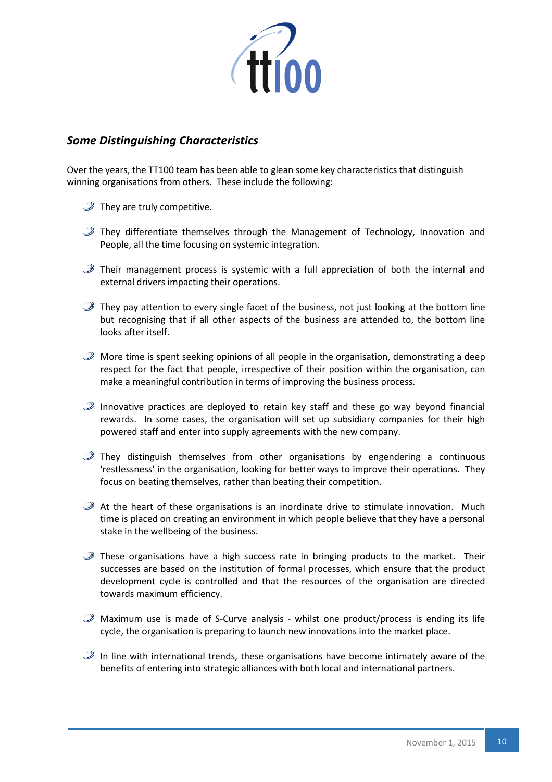

# *Some Distinguishing Characteristics*

Over the years, the TT100 team has been able to glean some key characteristics that distinguish winning organisations from others. These include the following:

- $\mathcal D$  They are truly competitive.
- $\mathcal{D}$  They differentiate themselves through the Management of Technology, Innovation and People, all the time focusing on systemic integration.
- $\mathcal{D}$  Their management process is systemic with a full appreciation of both the internal and external drivers impacting their operations.
- $\mathcal{D}$  They pay attention to every single facet of the business, not just looking at the bottom line but recognising that if all other aspects of the business are attended to, the bottom line looks after itself.
- $\mathcal{D}$  More time is spent seeking opinions of all people in the organisation, demonstrating a deep respect for the fact that people, irrespective of their position within the organisation, can make a meaningful contribution in terms of improving the business process.
- $\mathcal{D}$  Innovative practices are deployed to retain key staff and these go way beyond financial rewards. In some cases, the organisation will set up subsidiary companies for their high powered staff and enter into supply agreements with the new company.
- $\mathcal{D}$  They distinguish themselves from other organisations by engendering a continuous 'restlessness' in the organisation, looking for better ways to improve their operations. They focus on beating themselves, rather than beating their competition.
- $\mathcal{P}$  At the heart of these organisations is an inordinate drive to stimulate innovation. Much time is placed on creating an environment in which people believe that they have a personal stake in the wellbeing of the business.
- $\mathcal{D}$  These organisations have a high success rate in bringing products to the market. Their successes are based on the institution of formal processes, which ensure that the product development cycle is controlled and that the resources of the organisation are directed towards maximum efficiency.
- $\mathcal{D}$  Maximum use is made of S-Curve analysis whilst one product/process is ending its life cycle, the organisation is preparing to launch new innovations into the market place.
- $\mathcal{D}$  In line with international trends, these organisations have become intimately aware of the benefits of entering into strategic alliances with both local and international partners.